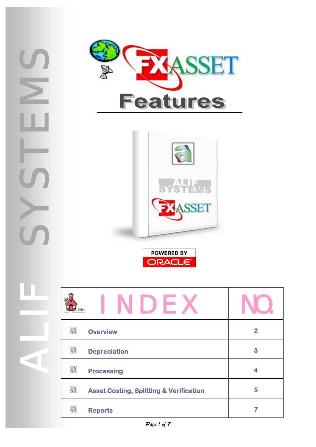SYSSIE  $\blacktriangleright$ ALIF





**ORACLE** 

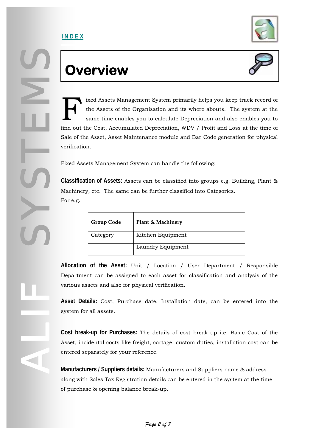

### **Overview**



ixed Assets Management System primarily helps you keep track record of the Assets of the Organisation and its where abouts. The system at the same time enables you to calculate Depreciation and also enables you to find out the Cost, Accumulated Depreciation, WDV / Profit and Loss at the time of Sale of the Asset, Asset Maintenance module and Bar Code generation for physical verification. F

Fixed Assets Management System can handle the following:

**Classification of Assets:** Assets can be classified into groups e.g. Building, Plant & Machinery, etc. The same can be further classified into Categories. For e.g.

| <b>Group Code</b> | Plant & Machinery |
|-------------------|-------------------|
| Category          | Kitchen Equipment |
|                   | Laundry Equipment |

**Allocation of the Asset:** Unit / Location / User Department / Responsible Department can be assigned to each asset for classification and analysis of the various assets and also for physical verification.

**Asset Details:** Cost, Purchase date, Installation date, can be entered into the system for all assets.

**Cost break-up for Purchases:** The details of cost break-up i.e. Basic Cost of the Asset, incidental costs like freight, cartage, custom duties, installation cost can be entered separately for your reference.

**Manufacturers / Suppliers details:** Manufacturers and Suppliers name & address along with Sales Tax Registration details can be entered in the system at the time of purchase & opening balance break-up.

<span id="page-1-0"></span>SYSSIE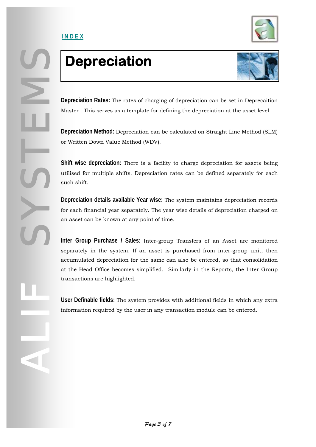<span id="page-2-0"></span>SYSSIE

ALIF



## **Depreciation**



**Depreciation Rates:** The rates of charging of depreciation can be set in Deprecaition Master . This serves as a template for defining the depreciation at the asset level.

**Depreciation Method:** Depreciation can be calculated on Straight Line Method (SLM) or Written Down Value Method (WDV).

**Shift wise depreciation:** There is a facility to charge depreciation for assets being utilised for multiple shifts. Depreciation rates can be defined separately for each such shift.

**Depreciation details available Year wise:** The system maintains depreciation records for each financial year separately. The year wise details of depreciation charged on an asset can be known at any point of time.

**Inter Group Purchase / Sales:** Inter-group Transfers of an Asset are monitored separately in the system. If an asset is purchased from inter-group unit, then accumulated depreciation for the same can also be entered, so that consolidation at the Head Office becomes simplified. Similarly in the Reports, the Inter Group transactions are highlighted.

**User Definable fields:** The system provides with additional fields in which any extra information required by the user in any transaction module can be entered.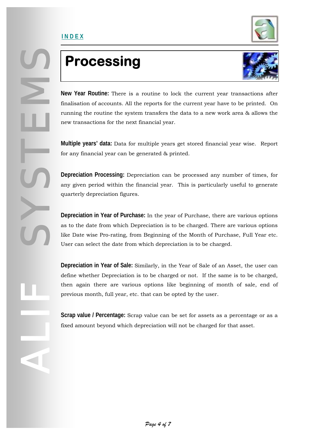

## **Processing**

<span id="page-3-0"></span>**I N D E X**



**New Year Routine:** There is a routine to lock the current year transactions after finalisation of accounts. All the reports for the current year have to be printed. On running the routine the system transfers the data to a new work area & allows the new transactions for the next financial year.

**Multiple years' data:** Data for multiple years get stored financial year wise. Report for any financial year can be generated & printed.

**Depreciation Processing:** Depreciation can be processed any number of times, for any given period within the financial year. This is particularly useful to generate quarterly depreciation figures.

**Depreciation in Year of Purchase:** In the year of Purchase, there are various options as to the date from which Depreciation is to be charged. There are various options like Date wise Pro-rating, from Beginning of the Month of Purchase, Full Year etc. User can select the date from which depreciation is to be charged.

**Depreciation in Year of Sale:** Similarly, in the Year of Sale of an Asset, the user can define whether Depreciation is to be charged or not. If the same is to be charged, then again there are various options like beginning of month of sale, end of previous month, full year, etc. that can be opted by the user.

**Scrap value / Percentage:** Scrap value can be set for assets as a percentage or as a fixed amount beyond which depreciation will not be charged for that asset.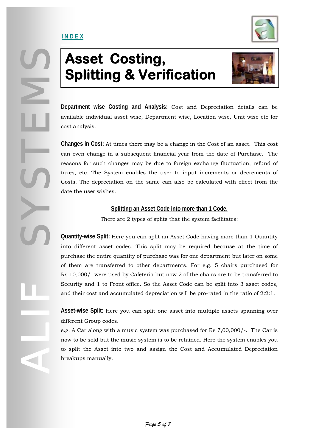### <span id="page-4-0"></span>**I N D E X**



### **Asset Costing, Splitting & Verification**



**Department wise Costing and Analysis:** Cost and Depreciation details can be available individual asset wise, Department wise, Location wise, Unit wise etc for cost analysis.

**Changes in Cost:** At times there may be a change in the Cost of an asset. This cost can even change in a subsequent financial year from the date of Purchase. The reasons for such changes may be due to foreign exchange fluctuation, refund of taxes, etc. The System enables the user to input increments or decrements of Costs. The depreciation on the same can also be calculated with effect from the date the user wishes.

#### **Splitting an Asset Code into more than 1 Code.**

There are 2 types of splits that the system facilitates:

**Quantity-wise Split:** Here you can split an Asset Code having more than 1 Quantity into different asset codes. This split may be required because at the time of purchase the entire quantity of purchase was for one department but later on some of them are transferred to other departments. For e.g. 5 chairs purchased for Rs.10,000/- were used by Cafeteria but now 2 of the chairs are to be transferred to Security and 1 to Front office. So the Asset Code can be split into 3 asset codes, and their cost and accumulated depreciation will be pro-rated in the ratio of 2:2:1.

**Asset-wise Split:** Here you can split one asset into multiple assets spanning over different Group codes.

e.g. A Car along with a music system was purchased for Rs 7,00,000/-. The Car is now to be sold but the music system is to be retained. Here the system enables you to split the Asset into two and assign the Cost and Accumulated Depreciation breakups manually.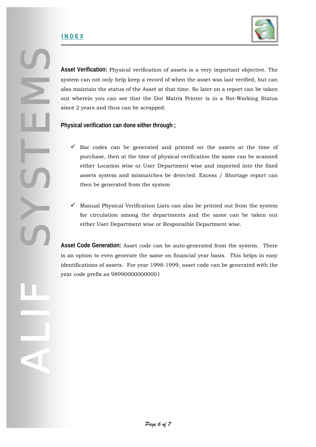

**Asset Verification:** Physical verification of assets is a very important objective. The system can not only help keep a record of when the asset was last verified, but can also maintain the status of the Asset at that time. So later on a report can be taken out wherein you can see that the Dot Matrix Printer is in a Not-Working Status since 2 years and thus can be scrapped.

**Physical verification can done either through ;** 

- $\checkmark$  Bar codes can be generated and printed on the assets at the time of purchase, then at the time of physical verification the same can be scanned either Location wise or User Department wise and imported into the fixed assets system and mismatches be detected. Excess / Shortage report can then be generated from the system
- $\checkmark$  Manual Physical Verification Lists can also be printed out from the system for circulation among the departments and the same can be taken out either User Department wise or Responsible Department wise.

**Asset Code Generation:** Asset code can be auto-generated from the system. There is an option to even generate the same on financial year basis. This helps in easy identifications of assets. For year 1998-1999, asset code can be generated with the year code prefix as 989900000000001